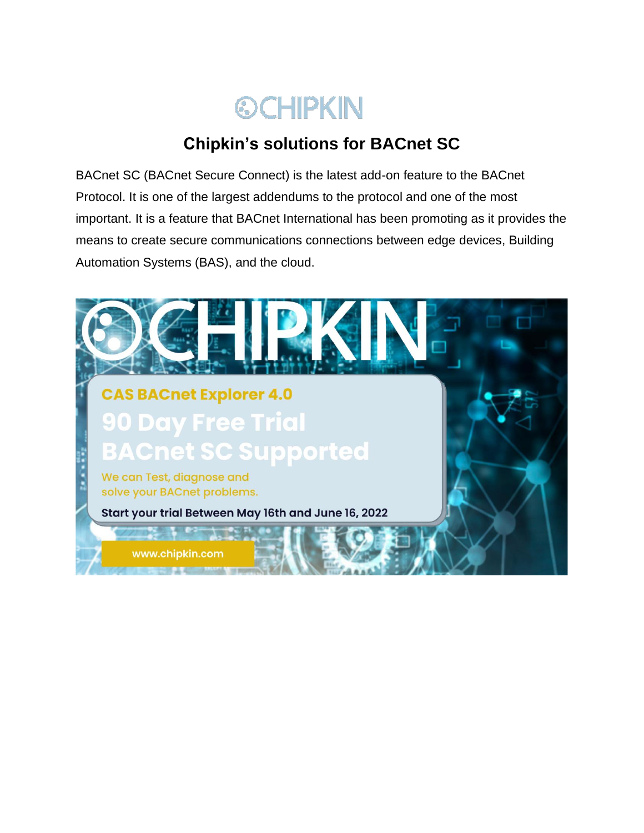

# **Chipkin's solutions for BACnet SC**

BACnet SC (BACnet Secure Connect) is the latest add-on feature to the BACnet Protocol. It is one of the largest addendums to the protocol and one of the most important. It is a feature that BACnet International has been promoting as it provides the means to create secure communications connections between edge devices, Building Automation Systems (BAS), and the cloud.

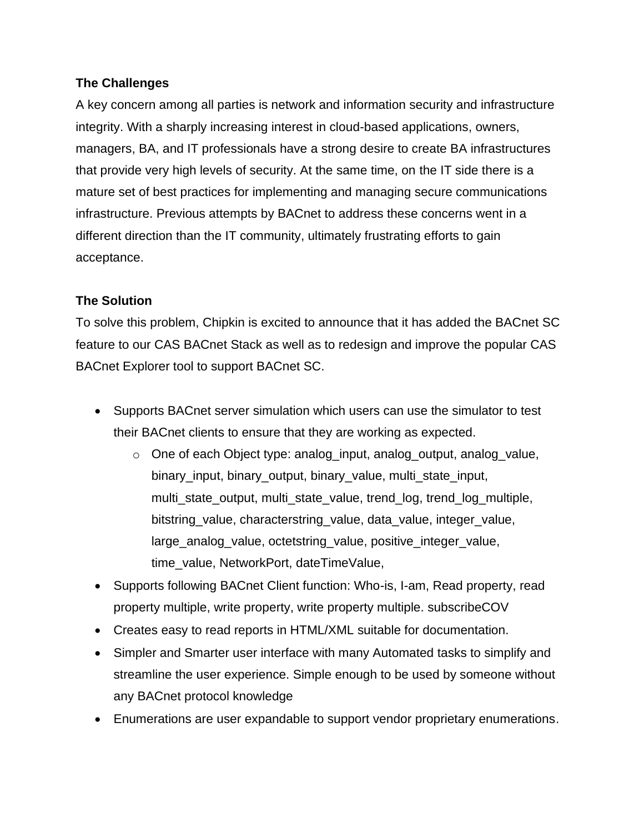# **The Challenges**

A key concern among all parties is network and information security and infrastructure integrity. With a sharply increasing interest in cloud-based applications, owners, managers, BA, and IT professionals have a strong desire to create BA infrastructures that provide very high levels of security. At the same time, on the IT side there is a mature set of best practices for implementing and managing secure communications infrastructure. Previous attempts by BACnet to address these concerns went in a different direction than the IT community, ultimately frustrating efforts to gain acceptance.

# **The Solution**

To solve this problem, Chipkin is excited to announce that it has added the BACnet SC feature to our CAS BACnet Stack as well as to redesign and improve the popular CAS BACnet Explorer tool to support BACnet SC.

- Supports BACnet server simulation which users can use the simulator to test their BACnet clients to ensure that they are working as expected.
	- o One of each Object type: analog\_input, analog\_output, analog\_value, binary input, binary output, binary value, multi state input, multi\_state\_output, multi\_state\_value, trend\_log, trend\_log\_multiple, bitstring\_value, characterstring\_value, data\_value, integer\_value, large\_analog\_value, octetstring\_value, positive\_integer\_value, time\_value, NetworkPort, dateTimeValue,
- Supports following BACnet Client function: Who-is, I-am, Read property, read property multiple, write property, write property multiple. subscribeCOV
- Creates easy to read reports in HTML/XML suitable for documentation.
- Simpler and Smarter user interface with many Automated tasks to simplify and streamline the user experience. Simple enough to be used by someone without any BACnet protocol knowledge
- Enumerations are user expandable to support vendor proprietary enumerations.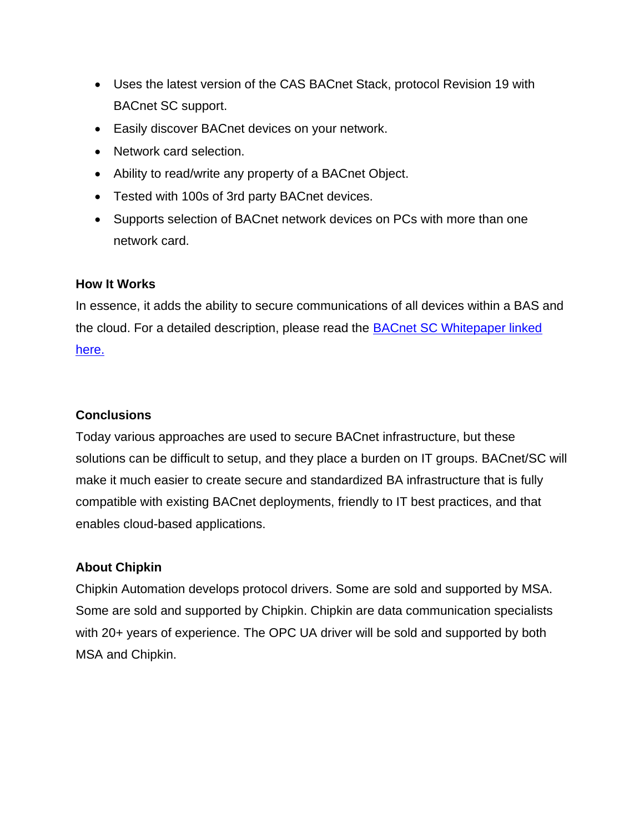- Uses the latest version of the CAS BACnet Stack, protocol Revision 19 with BACnet SC support.
- Easily discover BACnet devices on your network.
- Network card selection.
- Ability to read/write any property of a BACnet Object.
- Tested with 100s of 3rd party BACnet devices.
- Supports selection of BACnet network devices on PCs with more than one network card.

#### **How It Works**

In essence, it adds the ability to secure communications of all devices within a BAS and the cloud. For a detailed description, please read the [BACnet SC Whitepaper linked](https://cdn.chipkin.com/assets/uploads/2022/Feb/BACnet-SC-Whitepaper-v10_Final_20180710_21-17-31-26.pdf)  [here.](https://cdn.chipkin.com/assets/uploads/2022/Feb/BACnet-SC-Whitepaper-v10_Final_20180710_21-17-31-26.pdf)

## **Conclusions**

Today various approaches are used to secure BACnet infrastructure, but these solutions can be difficult to setup, and they place a burden on IT groups. BACnet/SC will make it much easier to create secure and standardized BA infrastructure that is fully compatible with existing BACnet deployments, friendly to IT best practices, and that enables cloud-based applications.

## **About Chipkin**

Chipkin Automation develops protocol drivers. Some are sold and supported by MSA. Some are sold and supported by Chipkin. Chipkin are data communication specialists with 20+ years of experience. The OPC UA driver will be sold and supported by both MSA and Chipkin.